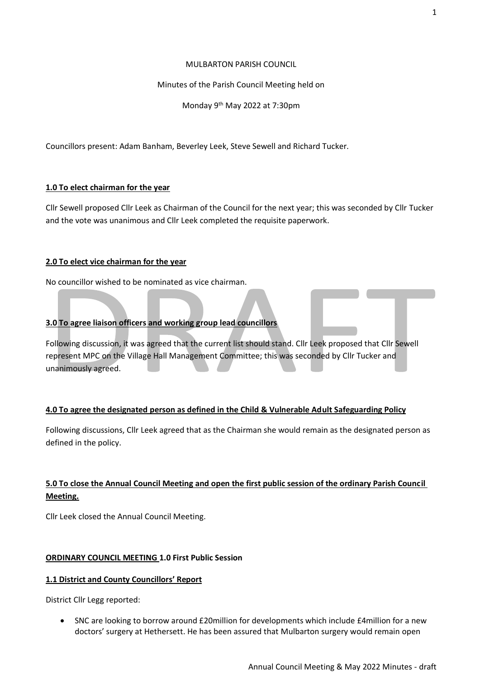#### MULBARTON PARISH COUNCIL

#### Minutes of the Parish Council Meeting held on

Monday 9<sup>th</sup> May 2022 at 7:30pm

Councillors present: Adam Banham, Beverley Leek, Steve Sewell and Richard Tucker.

#### **1.0 To elect chairman for the year**

Cllr Sewell proposed Cllr Leek as Chairman of the Council for the next year; this was seconded by Cllr Tucker and the vote was unanimous and Cllr Leek completed the requisite paperwork.

#### **2.0 To elect vice chairman for the year**

No councillor wished to be nominated as vice chairman.

#### **3.0 To agree liaison officers and working group lead councillors**

Following discussion, it was agreed that the current list should stand. Cllr Leek proposed that Cllr Sewell represent MPC on the Village Hall Management Committee; this was seconded by Cllr Tucker and unanimously agreed.

#### **4.0 To agree the designated person as defined in the Child & Vulnerable Adult Safeguarding Policy**

Following discussions, Cllr Leek agreed that as the Chairman she would remain as the designated person as defined in the policy.

# **5.0 To close the Annual Council Meeting and open the first public session of the ordinary Parish Council Meeting.**

Cllr Leek closed the Annual Council Meeting.

#### **ORDINARY COUNCIL MEETING 1.0 First Public Session**

#### **1.1 District and County Councillors' Report**

District Cllr Legg reported:

• SNC are looking to borrow around £20million for developments which include £4million for a new doctors' surgery at Hethersett. He has been assured that Mulbarton surgery would remain open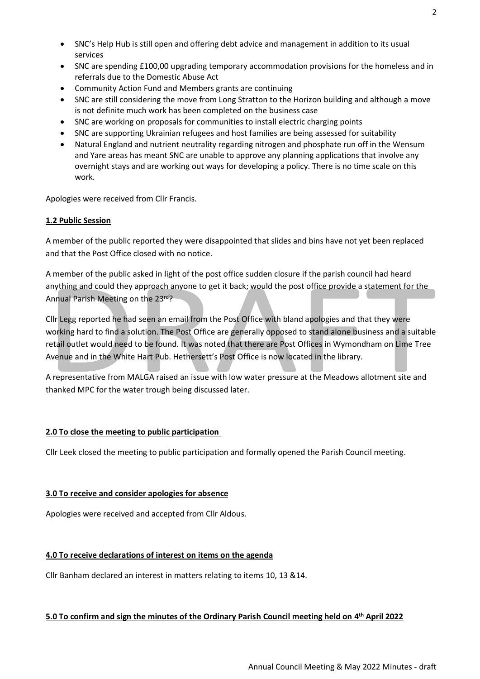- SNC's Help Hub is still open and offering debt advice and management in addition to its usual services
- SNC are spending £100,00 upgrading temporary accommodation provisions for the homeless and in referrals due to the Domestic Abuse Act
- Community Action Fund and Members grants are continuing
- SNC are still considering the move from Long Stratton to the Horizon building and although a move is not definite much work has been completed on the business case
- SNC are working on proposals for communities to install electric charging points
- SNC are supporting Ukrainian refugees and host families are being assessed for suitability
- Natural England and nutrient neutrality regarding nitrogen and phosphate run off in the Wensum and Yare areas has meant SNC are unable to approve any planning applications that involve any overnight stays and are working out ways for developing a policy. There is no time scale on this work.

Apologies were received from Cllr Francis.

#### **1.2 Public Session**

A member of the public reported they were disappointed that slides and bins have not yet been replaced and that the Post Office closed with no notice.

A member of the public asked in light of the post office sudden closure if the parish council had heard anything and could they approach anyone to get it back; would the post office provide a statement for the Annual Parish Meeting on the 23rd?

Cllr Legg reported he had seen an email from the Post Office with bland apologies and that they were working hard to find a solution. The Post Office are generally opposed to stand alone business and a suitable retail outlet would need to be found. It was noted that there are Post Offices in Wymondham on Lime Tree Avenue and in the White Hart Pub. Hethersett's Post Office is now located in the library.

A representative from MALGA raised an issue with low water pressure at the Meadows allotment site and thanked MPC for the water trough being discussed later.

# **2.0 To close the meeting to public participation**

Cllr Leek closed the meeting to public participation and formally opened the Parish Council meeting.

# **3.0 To receive and consider apologies for absence**

Apologies were received and accepted from Cllr Aldous.

#### **4.0 To receive declarations of interest on items on the agenda**

Cllr Banham declared an interest in matters relating to items 10, 13 &14.

# **5.0 To confirm and sign the minutes of the Ordinary Parish Council meeting held on 4 th April 2022**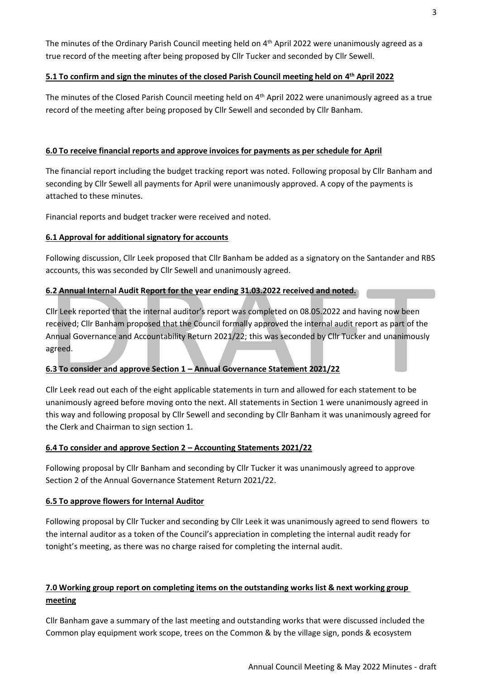The minutes of the Ordinary Parish Council meeting held on 4<sup>th</sup> April 2022 were unanimously agreed as a true record of the meeting after being proposed by Cllr Tucker and seconded by Cllr Sewell.

# **5.1 To confirm and sign the minutes of the closed Parish Council meeting held on 4 th April 2022**

The minutes of the Closed Parish Council meeting held on 4<sup>th</sup> April 2022 were unanimously agreed as a true record of the meeting after being proposed by Cllr Sewell and seconded by Cllr Banham.

#### **6.0 To receive financial reports and approve invoices for payments as per schedule for April**

The financial report including the budget tracking report was noted. Following proposal by Cllr Banham and seconding by Cllr Sewell all payments for April were unanimously approved. A copy of the payments is attached to these minutes.

Financial reports and budget tracker were received and noted.

#### **6.1 Approval for additional signatory for accounts**

Following discussion, Cllr Leek proposed that Cllr Banham be added as a signatory on the Santander and RBS accounts, this was seconded by Cllr Sewell and unanimously agreed.

#### **6.2 Annual Internal Audit Report for the year ending 31.03.2022 received and noted.**

Cllr Leek reported that the internal auditor's report was completed on 08.05.2022 and having now been received; Cllr Banham proposed that the Council formally approved the internal audit report as part of the Annual Governance and Accountability Return 2021/22; this was seconded by Cllr Tucker and unanimously agreed.

# **6.3 To consider and approve Section 1 – Annual Governance Statement 2021/22**

Cllr Leek read out each of the eight applicable statements in turn and allowed for each statement to be unanimously agreed before moving onto the next. All statements in Section 1 were unanimously agreed in this way and following proposal by Cllr Sewell and seconding by Cllr Banham it was unanimously agreed for the Clerk and Chairman to sign section 1.

#### **6.4 To consider and approve Section 2 – Accounting Statements 2021/22**

Following proposal by Cllr Banham and seconding by Cllr Tucker it was unanimously agreed to approve Section 2 of the Annual Governance Statement Return 2021/22.

#### **6.5 To approve flowers for Internal Auditor**

Following proposal by Cllr Tucker and seconding by Cllr Leek it was unanimously agreed to send flowers to the internal auditor as a token of the Council's appreciation in completing the internal audit ready for tonight's meeting, as there was no charge raised for completing the internal audit.

# **7.0 Working group report on completing items on the outstanding works list & next working group meeting**

Cllr Banham gave a summary of the last meeting and outstanding works that were discussed included the Common play equipment work scope, trees on the Common & by the village sign, ponds & ecosystem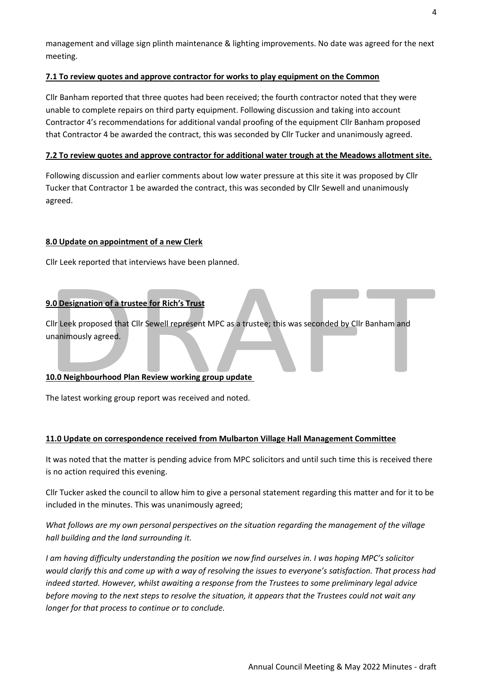management and village sign plinth maintenance & lighting improvements. No date was agreed for the next meeting.

#### **7.1 To review quotes and approve contractor for works to play equipment on the Common**

Cllr Banham reported that three quotes had been received; the fourth contractor noted that they were unable to complete repairs on third party equipment. Following discussion and taking into account Contractor 4's recommendations for additional vandal proofing of the equipment Cllr Banham proposed that Contractor 4 be awarded the contract, this was seconded by Cllr Tucker and unanimously agreed.

#### **7.2 To review quotes and approve contractor for additional water trough at the Meadows allotment site.**

Following discussion and earlier comments about low water pressure at this site it was proposed by Cllr Tucker that Contractor 1 be awarded the contract, this was seconded by Cllr Sewell and unanimously agreed.

#### **8.0 Update on appointment of a new Clerk**

Cllr Leek reported that interviews have been planned.

# **9.0 Designation of a trustee for Rich's Trust**

Cllr Leek proposed that Cllr Sewell represent MPC as a trustee; this was seconded by Cllr Banham and unanimously agreed.

# **10.0 Neighbourhood Plan Review working group update**

The latest working group report was received and noted.

#### **11.0 Update on correspondence received from Mulbarton Village Hall Management Committee**

It was noted that the matter is pending advice from MPC solicitors and until such time this is received there is no action required this evening.

Cllr Tucker asked the council to allow him to give a personal statement regarding this matter and for it to be included in the minutes. This was unanimously agreed;

*What follows are my own personal perspectives on the situation regarding the management of the village hall building and the land surrounding it.*

*I am having difficulty understanding the position we now find ourselves in. I was hoping MPC's solicitor would clarify this and come up with a way of resolving the issues to everyone's satisfaction. That process had indeed started. However, whilst awaiting a response from the Trustees to some preliminary legal advice before moving to the next steps to resolve the situation, it appears that the Trustees could not wait any longer for that process to continue or to conclude.*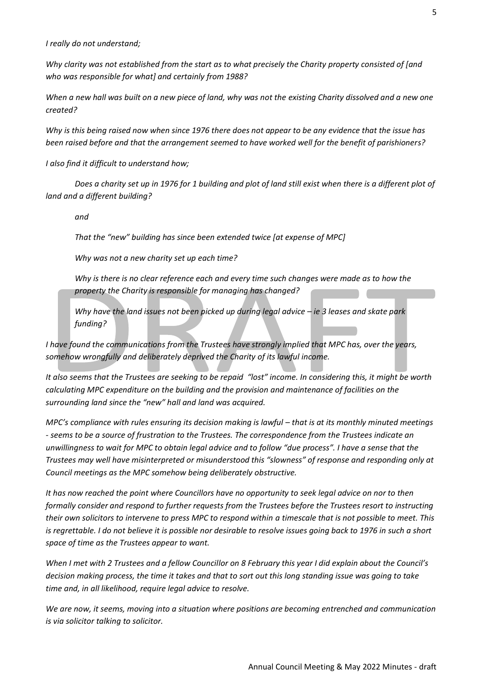*I really do not understand;*

*Why clarity was not established from the start as to what precisely the Charity property consisted of [and who was responsible for what] and certainly from 1988?*

*When a new hall was built on a new piece of land, why was not the existing Charity dissolved and a new one created?*

*Why is this being raised now when since 1976 there does not appear to be any evidence that the issue has been raised before and that the arrangement seemed to have worked well for the benefit of parishioners?*

*I also find it difficult to understand how;*

*Does a charity set up in 1976 for 1 building and plot of land still exist when there is a different plot of land and a different building?*

*and*

*That the "new" building has since been extended twice [at expense of MPC]*

*Why was not a new charity set up each time?*

*Why is there is no clear reference each and every time such changes were made as to how the property the Charity is responsible for managing has changed?*

*Why have the land issues not been picked up during legal advice – ie 3 leases and skate park funding?*

*I have found the communications from the Trustees have strongly implied that MPC has, over the years, somehow wrongfully and deliberately deprived the Charity of its lawful income.* 

*It also seems that the Trustees are seeking to be repaid "lost" income. In considering this, it might be worth calculating MPC expenditure on the building and the provision and maintenance of facilities on the surrounding land since the "new" hall and land was acquired.*

*MPC's compliance with rules ensuring its decision making is lawful – that is at its monthly minuted meetings - seems to be a source of frustration to the Trustees. The correspondence from the Trustees indicate an unwillingness to wait for MPC to obtain legal advice and to follow "due process". I have a sense that the Trustees may well have misinterpreted or misunderstood this "slowness" of response and responding only at Council meetings as the MPC somehow being deliberately obstructive.* 

*It has now reached the point where Councillors have no opportunity to seek legal advice on nor to then formally consider and respond to further requests from the Trustees before the Trustees resort to instructing their own solicitors to intervene to press MPC to respond within a timescale that is not possible to meet. This is regrettable. I do not believe it is possible nor desirable to resolve issues going back to 1976 in such a short space of time as the Trustees appear to want.* 

*When I met with 2 Trustees and a fellow Councillor on 8 February this year I did explain about the Council's decision making process, the time it takes and that to sort out this long standing issue was going to take time and, in all likelihood, require legal advice to resolve.*

*We are now, it seems, moving into a situation where positions are becoming entrenched and communication is via solicitor talking to solicitor.*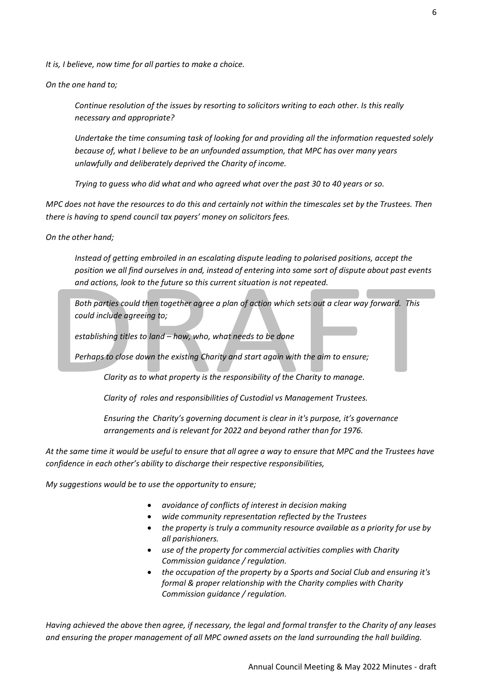*It is, I believe, now time for all parties to make a choice.*

*On the one hand to;*

*Continue resolution of the issues by resorting to solicitors writing to each other. Is this really necessary and appropriate?*

*Undertake the time consuming task of looking for and providing all the information requested solely because of, what I believe to be an unfounded assumption, that MPC has over many years unlawfully and deliberately deprived the Charity of income.*

*Trying to guess who did what and who agreed what over the past 30 to 40 years or so.*

*MPC does not have the resources to do this and certainly not within the timescales set by the Trustees. Then there is having to spend council tax payers' money on solicitors fees.* 

*On the other hand;*

*Instead of getting embroiled in an escalating dispute leading to polarised positions, accept the position we all find ourselves in and, instead of entering into some sort of dispute about past events and actions, look to the future so this current situation is not repeated.*

*Both parties could then together agree a plan of action which sets out a clear way forward. This could include agreeing to;* 

*establishing titles to land – how, who, what needs to be done*

*Perhaps to close down the existing Charity and start again with the aim to ensure;*

*Clarity as to what property is the responsibility of the Charity to manage.*

*Clarity of roles and responsibilities of Custodial vs Management Trustees.*

*Ensuring the Charity's governing document is clear in it's purpose, it's governance arrangements and is relevant for 2022 and beyond rather than for 1976.*

*At the same time it would be useful to ensure that all agree a way to ensure that MPC and the Trustees have confidence in each other's ability to discharge their respective responsibilities,*

*My suggestions would be to use the opportunity to ensure;*

- *avoidance of conflicts of interest in decision making*
- *wide community representation reflected by the Trustees*
- *the property is truly a community resource available as a priority for use by all parishioners.*
- *use of the property for commercial activities complies with Charity Commission guidance / regulation.*
- *the occupation of the property by a Sports and Social Club and ensuring it's formal & proper relationship with the Charity complies with Charity Commission guidance / regulation.*

*Having achieved the above then agree, if necessary, the legal and formal transfer to the Charity of any leases and ensuring the proper management of all MPC owned assets on the land surrounding the hall building.*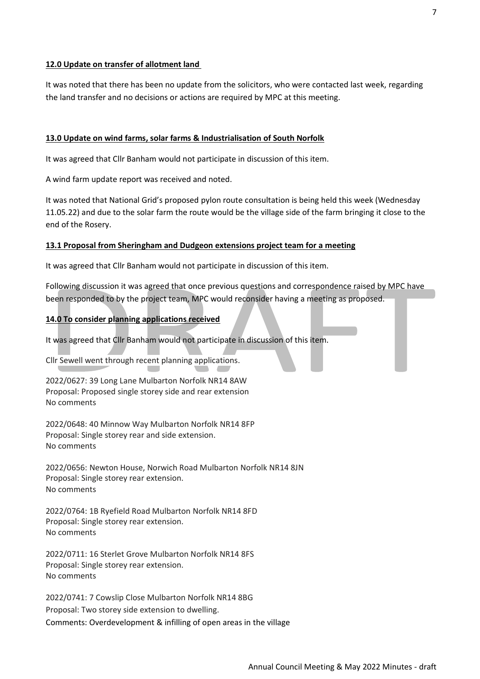#### **12.0 Update on transfer of allotment land**

It was noted that there has been no update from the solicitors, who were contacted last week, regarding the land transfer and no decisions or actions are required by MPC at this meeting.

#### **13.0 Update on wind farms, solar farms & Industrialisation of South Norfolk**

It was agreed that Cllr Banham would not participate in discussion of this item.

A wind farm update report was received and noted.

It was noted that National Grid's proposed pylon route consultation is being held this week (Wednesday 11.05.22) and due to the solar farm the route would be the village side of the farm bringing it close to the end of the Rosery.

#### **13.1 Proposal from Sheringham and Dudgeon extensions project team for a meeting**

It was agreed that Cllr Banham would not participate in discussion of this item.

Following discussion it was agreed that once previous questions and correspondence raised by MPC have been responded to by the project team, MPC would reconsider having a meeting as proposed.

#### **14.0 To consider planning applications received**

It was agreed that Cllr Banham would not participate in discussion of this item.

Cllr Sewell went through recent planning applications.

2022/0627: 39 Long Lane Mulbarton Norfolk NR14 8AW Proposal: Proposed single storey side and rear extension No comments

2022/0648: 40 Minnow Way Mulbarton Norfolk NR14 8FP Proposal: Single storey rear and side extension. No comments

2022/0656: Newton House, Norwich Road Mulbarton Norfolk NR14 8JN Proposal: Single storey rear extension. No comments

2022/0764: 1B Ryefield Road Mulbarton Norfolk NR14 8FD Proposal: Single storey rear extension. No comments

2022/0711: 16 Sterlet Grove Mulbarton Norfolk NR14 8FS Proposal: Single storey rear extension. No comments

2022/0741: 7 Cowslip Close Mulbarton Norfolk NR14 8BG Proposal: Two storey side extension to dwelling. Comments: Overdevelopment & infilling of open areas in the village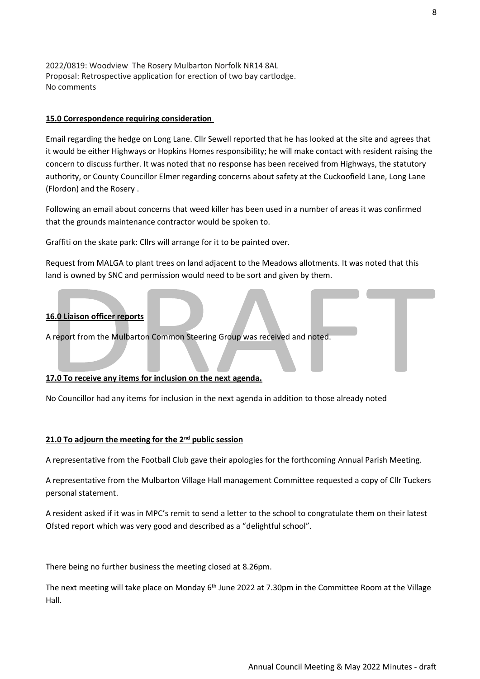2022/0819: Woodview The Rosery Mulbarton Norfolk NR14 8AL Proposal: Retrospective application for erection of two bay cartlodge. No comments

#### **15.0 Correspondence requiring consideration**

Email regarding the hedge on Long Lane. Cllr Sewell reported that he has looked at the site and agrees that it would be either Highways or Hopkins Homes responsibility; he will make contact with resident raising the concern to discuss further. It was noted that no response has been received from Highways, the statutory authority, or County Councillor Elmer regarding concerns about safety at the Cuckoofield Lane, Long Lane (Flordon) and the Rosery .

Following an email about concerns that weed killer has been used in a number of areas it was confirmed that the grounds maintenance contractor would be spoken to.

Graffiti on the skate park: Cllrs will arrange for it to be painted over.

Request from MALGA to plant trees on land adjacent to the Meadows allotments. It was noted that this land is owned by SNC and permission would need to be sort and given by them.

#### **16.0 Liaison officer reports**

A report from the Mulbarton Common Steering Group was received and noted.

#### **17.0 To receive any items for inclusion on the next agenda.**

No Councillor had any items for inclusion in the next agenda in addition to those already noted

#### **21.0 To adjourn the meeting for the 2nd public session**

A representative from the Football Club gave their apologies for the forthcoming Annual Parish Meeting.

A representative from the Mulbarton Village Hall management Committee requested a copy of Cllr Tuckers personal statement.

A resident asked if it was in MPC's remit to send a letter to the school to congratulate them on their latest Ofsted report which was very good and described as a "delightful school".

There being no further business the meeting closed at 8.26pm.

The next meeting will take place on Monday 6<sup>th</sup> June 2022 at 7.30pm in the Committee Room at the Village Hall.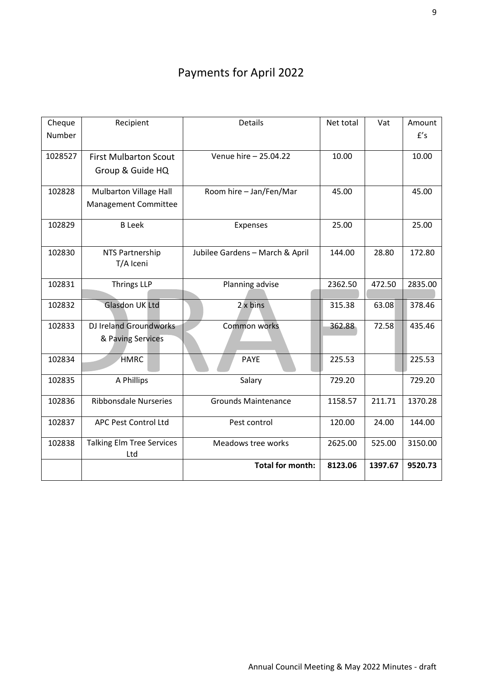# Payments for April 2022

| Cheque<br>Number | Recipient                                        | <b>Details</b>                  | Net total | Vat     | Amount<br>f's |
|------------------|--------------------------------------------------|---------------------------------|-----------|---------|---------------|
| 1028527          | <b>First Mulbarton Scout</b><br>Group & Guide HQ | Venue hire - 25.04.22           | 10.00     |         | 10.00         |
| 102828           | Mulbarton Village Hall<br>Management Committee   | Room hire - Jan/Fen/Mar         | 45.00     |         | 45.00         |
| 102829           | <b>B</b> Leek                                    | Expenses                        | 25.00     |         | 25.00         |
| 102830           | NTS Partnership<br>T/A Iceni                     | Jubilee Gardens - March & April | 144.00    | 28.80   | 172.80        |
| 102831           | <b>Thrings LLP</b>                               | Planning advise                 | 2362.50   | 472.50  | 2835.00       |
| 102832           | <b>Glasdon UK Ltd</b>                            | $2 \times \text{bins}$          | 315.38    | 63.08   | 378.46        |
| 102833           | DJ Ireland Groundworks<br>& Paving Services      | Common works                    | 362.88    | 72.58   | 435.46        |
| 102834           | <b>HMRC</b>                                      | <b>PAYE</b>                     | 225.53    |         | 225.53        |
| 102835           | A Phillips                                       | Salary                          | 729.20    |         | 729.20        |
| 102836           | <b>Ribbonsdale Nurseries</b>                     | <b>Grounds Maintenance</b>      | 1158.57   | 211.71  | 1370.28       |
| 102837           | APC Pest Control Ltd                             | Pest control                    | 120.00    | 24.00   | 144.00        |
| 102838           | <b>Talking Elm Tree Services</b><br>Ltd          | Meadows tree works              | 2625.00   | 525.00  | 3150.00       |
|                  |                                                  | <b>Total for month:</b>         | 8123.06   | 1397.67 | 9520.73       |